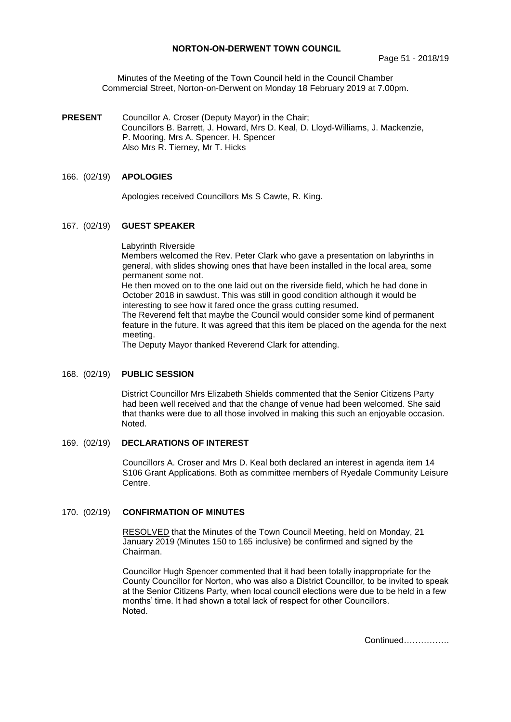### **NORTON-ON-DERWENT TOWN COUNCIL**

Minutes of the Meeting of the Town Council held in the Council Chamber Commercial Street, Norton-on-Derwent on Monday 18 February 2019 at 7.00pm.

**PRESENT** Councillor A. Croser (Deputy Mayor) in the Chair; Councillors B. Barrett, J. Howard, Mrs D. Keal, D. Lloyd-Williams, J. Mackenzie, P. Mooring, Mrs A. Spencer, H. Spencer Also Mrs R. Tierney, Mr T. Hicks

### 166. (02/19) **APOLOGIES**

Apologies received Councillors Ms S Cawte, R. King.

#### 167. (02/19) **GUEST SPEAKER**

Labyrinth Riverside

Members welcomed the Rev. Peter Clark who gave a presentation on labyrinths in general, with slides showing ones that have been installed in the local area, some permanent some not.

He then moved on to the one laid out on the riverside field, which he had done in October 2018 in sawdust. This was still in good condition although it would be interesting to see how it fared once the grass cutting resumed.

The Reverend felt that maybe the Council would consider some kind of permanent feature in the future. It was agreed that this item be placed on the agenda for the next meeting.

The Deputy Mayor thanked Reverend Clark for attending.

### 168. (02/19) **PUBLIC SESSION**

District Councillor Mrs Elizabeth Shields commented that the Senior Citizens Party had been well received and that the change of venue had been welcomed. She said that thanks were due to all those involved in making this such an enjoyable occasion. Noted.

### 169. (02/19) **DECLARATIONS OF INTEREST**

Councillors A. Croser and Mrs D. Keal both declared an interest in agenda item 14 S106 Grant Applications. Both as committee members of Ryedale Community Leisure Centre.

#### 170. (02/19) **CONFIRMATION OF MINUTES**

 RESOLVED that the Minutes of the Town Council Meeting, held on Monday, 21 January 2019 (Minutes 150 to 165 inclusive) be confirmed and signed by the Chairman.

Councillor Hugh Spencer commented that it had been totally inappropriate for the County Councillor for Norton, who was also a District Councillor, to be invited to speak at the Senior Citizens Party, when local council elections were due to be held in a few months' time. It had shown a total lack of respect for other Councillors. Noted.

Continued…………….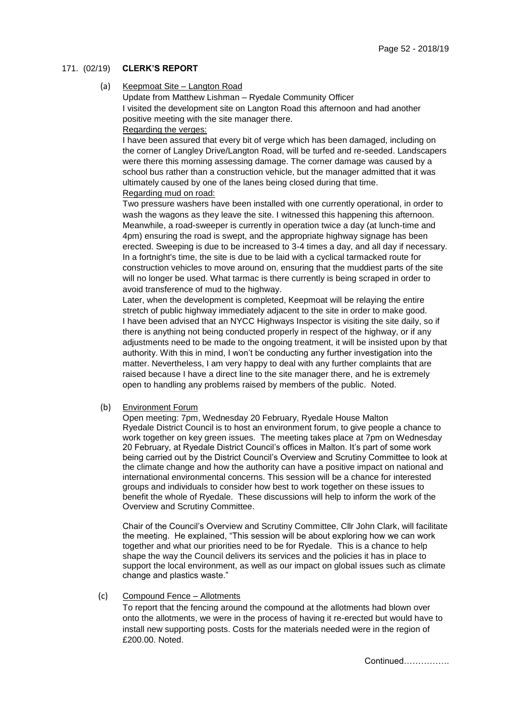## 171. (02/19) **CLERK'S REPORT**

### (a) Keepmoat Site – Langton Road

Update from Matthew Lishman – Ryedale Community Officer I visited the development site on Langton Road this afternoon and had another positive meeting with the site manager there. Regarding the verges:

I have been assured that every bit of verge which has been damaged, including on the corner of Langley Drive/Langton Road, will be turfed and re-seeded. Landscapers were there this morning assessing damage. The corner damage was caused by a school bus rather than a construction vehicle, but the manager admitted that it was ultimately caused by one of the lanes being closed during that time. Regarding mud on road:

Two pressure washers have been installed with one currently operational, in order to wash the wagons as they leave the site. I witnessed this happening this afternoon. Meanwhile, a road-sweeper is currently in operation twice a day (at lunch-time and 4pm) ensuring the road is swept, and the appropriate highway signage has been erected. Sweeping is due to be increased to 3-4 times a day, and all day if necessary. In a fortnight's time, the site is due to be laid with a cyclical tarmacked route for construction vehicles to move around on, ensuring that the muddiest parts of the site will no longer be used. What tarmac is there currently is being scraped in order to avoid transference of mud to the highway.

Later, when the development is completed, Keepmoat will be relaying the entire stretch of public highway immediately adjacent to the site in order to make good. I have been advised that an NYCC Highways Inspector is visiting the site daily, so if there is anything not being conducted properly in respect of the highway, or if any adjustments need to be made to the ongoing treatment, it will be insisted upon by that authority. With this in mind, I won't be conducting any further investigation into the matter. Nevertheless, I am very happy to deal with any further complaints that are raised because I have a direct line to the site manager there, and he is extremely open to handling any problems raised by members of the public. Noted.

#### (b) Environment Forum

Open meeting: 7pm, Wednesday 20 February, Ryedale House Malton Ryedale District Council is to host an environment forum, to give people a chance to work together on key green issues. The meeting takes place at 7pm on Wednesday 20 February, at Ryedale District Council's offices in Malton. It's part of some work being carried out by the District Council's Overview and Scrutiny Committee to look at the climate change and how the authority can have a positive impact on national and international environmental concerns. This session will be a chance for interested groups and individuals to consider how best to work together on these issues to benefit the whole of Ryedale. These discussions will help to inform the work of the Overview and Scrutiny Committee.

Chair of the Council's Overview and Scrutiny Committee, Cllr John Clark, will facilitate the meeting. He explained, "This session will be about exploring how we can work together and what our priorities need to be for Ryedale. This is a chance to help shape the way the Council delivers its services and the policies it has in place to support the local environment, as well as our impact on global issues such as climate change and plastics waste."

#### (c) Compound Fence – Allotments

To report that the fencing around the compound at the allotments had blown over onto the allotments, we were in the process of having it re-erected but would have to install new supporting posts. Costs for the materials needed were in the region of £200.00. Noted.

Continued…………….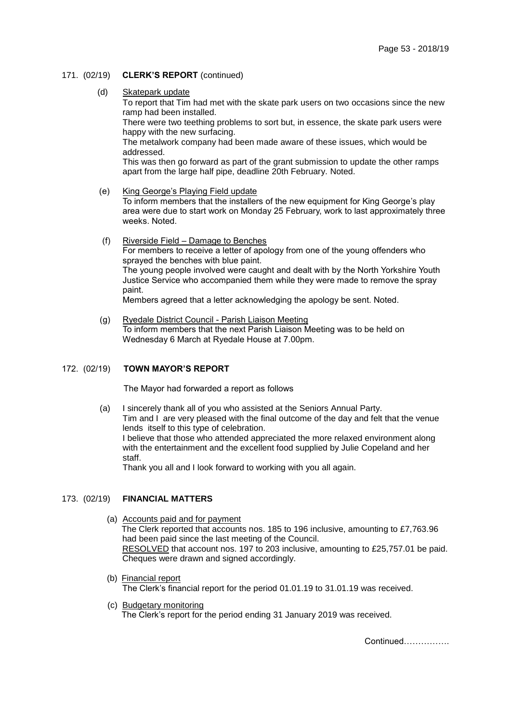- 171. (02/19) **CLERK'S REPORT** (continued)
	- (d) Skatepark update

To report that Tim had met with the skate park users on two occasions since the new ramp had been installed.

There were two teething problems to sort but, in essence, the skate park users were happy with the new surfacing.

The metalwork company had been made aware of these issues, which would be addressed.

This was then go forward as part of the grant submission to update the other ramps apart from the large half pipe, deadline 20th February. Noted.

(e) King George's Playing Field update

To inform members that the installers of the new equipment for King George's play area were due to start work on Monday 25 February, work to last approximately three weeks. Noted.

 (f) Riverside Field – Damage to Benches For members to receive a letter of apology from one of the young offenders who sprayed the benches with blue paint. The young people involved were caught and dealt with by the North Yorkshire Youth Justice Service who accompanied them while they were made to remove the spray paint.

Members agreed that a letter acknowledging the apology be sent. Noted.

 (g) Ryedale District Council - Parish Liaison Meeting To inform members that the next Parish Liaison Meeting was to be held on Wednesday 6 March at Ryedale House at 7.00pm.

#### 172. (02/19) **TOWN MAYOR'S REPORT**

The Mayor had forwarded a report as follows

 (a) I sincerely thank all of you who assisted at the Seniors Annual Party. Tim and I are very pleased with the final outcome of the day and felt that the venue lends itself to this type of celebration. I believe that those who attended appreciated the more relaxed environment along with the entertainment and the excellent food supplied by Julie Copeland and her staff.

Thank you all and I look forward to working with you all again.

### 173. (02/19) **FINANCIAL MATTERS**

- (a) Accounts paid and for payment The Clerk reported that accounts nos. 185 to 196 inclusive, amounting to £7,763.96 had been paid since the last meeting of the Council. RESOLVED that account nos. 197 to 203 inclusive, amounting to £25,757.01 be paid. Cheques were drawn and signed accordingly.
- (b) Financial report The Clerk's financial report for the period 01.01.19 to 31.01.19 was received.
- (c) Budgetary monitoring The Clerk's report for the period ending 31 January 2019 was received.

Continued…………….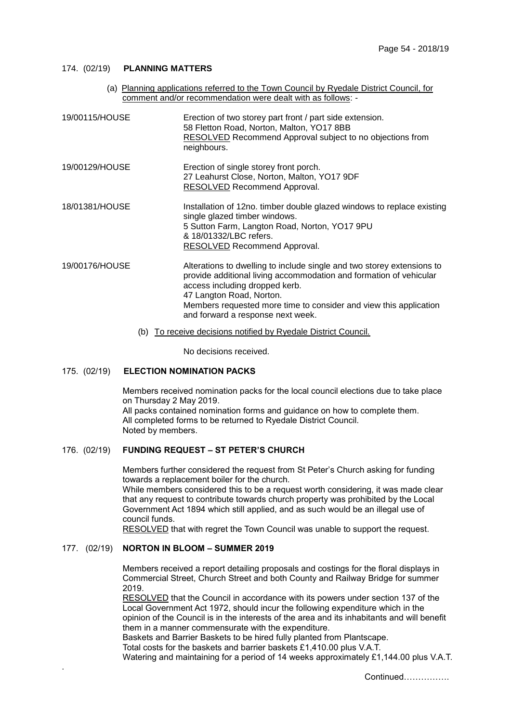## 174. (02/19) **PLANNING MATTERS**

| (a) Planning applications referred to the Town Council by Ryedale District Council, for<br>comment and/or recommendation were dealt with as follows: - |                                                                                                                                                                                                                                                                                                                      |
|--------------------------------------------------------------------------------------------------------------------------------------------------------|----------------------------------------------------------------------------------------------------------------------------------------------------------------------------------------------------------------------------------------------------------------------------------------------------------------------|
| 19/00115/HOUSE                                                                                                                                         | Erection of two storey part front / part side extension.<br>58 Fletton Road, Norton, Malton, YO17 8BB<br>RESOLVED Recommend Approval subject to no objections from<br>neighbours.                                                                                                                                    |
| 19/00129/HOUSE                                                                                                                                         | Erection of single storey front porch.<br>27 Leahurst Close, Norton, Malton, YO17 9DF<br>RESOLVED Recommend Approval.                                                                                                                                                                                                |
| 18/01381/HOUSE                                                                                                                                         | Installation of 12no. timber double glazed windows to replace existing<br>single glazed timber windows.<br>5 Sutton Farm, Langton Road, Norton, YO17 9PU<br>& 18/01332/LBC refers.<br><b>RESOLVED</b> Recommend Approval.                                                                                            |
| 19/00176/HOUSE                                                                                                                                         | Alterations to dwelling to include single and two storey extensions to<br>provide additional living accommodation and formation of vehicular<br>access including dropped kerb.<br>47 Langton Road, Norton.<br>Members requested more time to consider and view this application<br>and forward a response next week. |

(b) To receive decisions notified by Ryedale District Council.

No decisions received.

# 175. (02/19) **ELECTION NOMINATION PACKS**

Members received nomination packs for the local council elections due to take place on Thursday 2 May 2019. All packs contained nomination forms and guidance on how to complete them. All completed forms to be returned to Ryedale District Council. Noted by members.

# 176. (02/19) **FUNDING REQUEST – ST PETER'S CHURCH**

Members further considered the request from St Peter's Church asking for funding towards a replacement boiler for the church.

While members considered this to be a request worth considering, it was made clear that any request to contribute towards church property was prohibited by the Local Government Act 1894 which still applied, and as such would be an illegal use of council funds.

RESOLVED that with regret the Town Council was unable to support the request.

#### 177. (02/19) **NORTON IN BLOOM – SUMMER 2019**

.

Members received a report detailing proposals and costings for the floral displays in Commercial Street, Church Street and both County and Railway Bridge for summer 2019.

RESOLVED that the Council in accordance with its powers under section 137 of the Local Government Act 1972, should incur the following expenditure which in the opinion of the Council is in the interests of the area and its inhabitants and will benefit them in a manner commensurate with the expenditure.

Baskets and Barrier Baskets to be hired fully planted from Plantscape.

Total costs for the baskets and barrier baskets £1,410.00 plus V.A.T.

Watering and maintaining for a period of 14 weeks approximately £1,144.00 plus V.A.T.